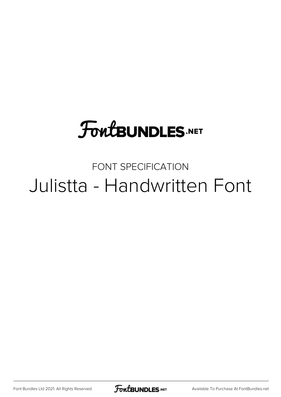## **FoutBUNDLES.NET**

## FONT SPECIFICATION Julistta - Handwritten Font

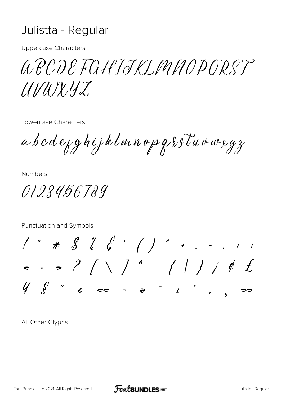## Julistta - Regular

**Uppercase Characters** 

a RODE FGHIJKI MMODORST UNUXYZ,

Lowercase Characters

a b c d e y g h i j k l m n o p g { s l u v w x y z

**Numbers** 

0123456789

Punctuation and Symbols  $1''$  #  $2'$   $6'$   $6'$   $1''$   $1''$   $1''$   $1''$   $1''$  $\begin{array}{cc} \n\sqrt{2} & \sqrt{2} & \n\end{array}$  $\mathcal{O}$ 

All Other Glyphs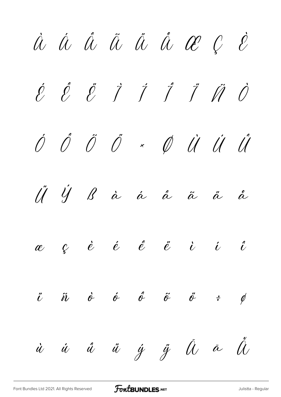À Á Â Ã Ä Å Æ Ç È É Ê Ë Ì Í Î Ï Ñ Ò Ó Ô Õ Ö × Ø Ù Ú Û Ü Ý ß à á â ã ä å  $\begin{array}{cccccccccccccc} \alpha & \zeta & \epsilon & \dot{e} & \dot{e} & \dot{e} & \dot{e} & \dot{e} & \dot{e} & \dot{e} & \dot{e} & \dot{e} & \dot{e} & \dot{e} & \dot{e} & \dot{e} & \dot{e} & \dot{e} & \dot{e} & \dot{e} & \dot{e} & \dot{e} & \dot{e} & \dot{e} & \dot{e} & \dot{e} & \dot{e} & \dot{e} & \dot{e} & \dot{e} & \dot{e} & \dot{e} & \dot{e} & \dot{e} & \dot{e} & \dot{e} & \dot$  $\ddot{\iota}$   $\ddot{\iota}$   $\dot{\sigma}$   $\ddot{\sigma}$   $\ddot{\sigma}$   $\ddot{\sigma}$   $\ddot{\sigma}$   $\ddot{\varepsilon}$   $\phi$  $\dot{u}$   $\dot{u}$   $\ddot{u}$   $\dot{y}$   $\ddot{y}$   $\ddot{u}$   $\ddot{a}$   $\ddot{d}$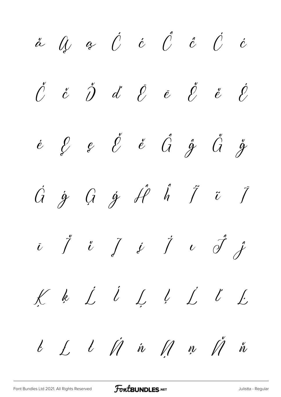$\begin{array}{cccccccccc} \mathring{C} & \mathring{c} & \mathring{D} & \mathring{d} & \mathring{\mathscr{E}} & \mathring{e} & \mathring{\mathscr{E}} & \mathring{e} & \mathring{\mathscr{E}} \end{array}$  $\begin{array}{ccccccccccccc} \acute{e} & \acute{\mathcal{E}} & \acute{e} & \acute{\mathcal{E}} & \acute{e} & \acute{\mathcal{G}} & \acute{\mathcal{G}} & \acute{\mathcal{G}} & \acute{\mathcal{G}} & \acute{\mathcal{G}} \end{array}$  $\begin{array}{ccc} \n\dot{G} & \dot{g} & \n\dot{G} & \dot{g} & \n\dot{f} & \dot{\theta} & \n\end{array} \begin{array}{ccc} \n\dot{f} & \dot{g} & \n\dot{f} & \n\dot{g} & \n\end{array}$  $\begin{array}{ccccc} \bar{\iota} & \tilde{\jmath} & \tilde{\iota} & \tilde{\jmath} & \tilde{\jmath} & \tilde{\jmath} & \tilde{\jmath} & \tilde{\jmath} & \tilde{\jmath} & \tilde{\jmath} & \tilde{\jmath} & \tilde{\jmath} & \tilde{\jmath} & \tilde{\jmath} & \tilde{\jmath} & \tilde{\jmath} & \tilde{\jmath} & \tilde{\jmath} & \tilde{\jmath} & \tilde{\jmath} & \tilde{\jmath} & \tilde{\jmath} & \tilde{\jmath} & \tilde{\jmath} & \tilde{\jmath} & \tilde{\jmath} & \tilde{\j$ Kk Lĺ Lļ L L L  $l$   $\acute{\mu}$  in  $\acute{\mu}$  n  $\acute{\mu}$  in  $l \L$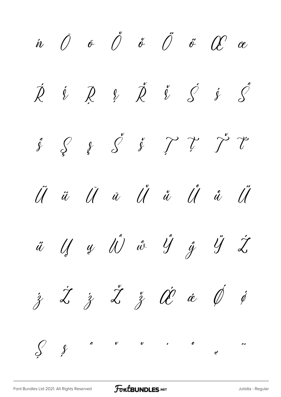$\begin{array}{ccccccccccccc} \dot{n} & \bar{O} & \bar{\sigma} & \tilde{O} & \check{\sigma} & \tilde{O} & \tilde{\sigma} & \tilde{O} & \tilde{\sigma} & \tilde{C} & \tilde{\sigma} \end{array}$  $\ell$   $\cancel{Z}$   $\cancel{C}$   $\cancel{S}$   $\cancel{S}$  $\acute{\mathcal{R}}$  $i \not R$  $\begin{array}{ccccccccc}\n\hat{y} & \hat{y} & \hat{y} & \hat{y} & \hat{y} & \hat{y} & \hat{y} & \hat{y} & \hat{y} & \hat{y}\n\end{array}$ U u U u U u  $\ddot{\mathcal{U}}$  $\tilde{\mathcal{U}}$  $\widetilde{\mathcal{U}}$  $\begin{array}{ccccc}\n\ddot{u} & \dot{u} & \dot{u} & \dot{u} & \dot{u} & \dot{u} & \dot{u} & \dot{u}\n\end{array}$  $\dot{z}$   $\dot{z}$   $\dot{z}$   $\ddot{z}$   $\dot{\alpha}$   $\dot{\phi}$   $\dot{\phi}$  $\begin{matrix} \mathcal{S} & \mathcal{S} \end{matrix}$  $\begin{array}{ccc} \nu & \cdot & \cdot & \cdot \end{array}$  $\begin{array}{c}\n\binom{1}{2} \\
\end{array}$  $\mathbf{v}$  $\boldsymbol{c}^{\prime}$